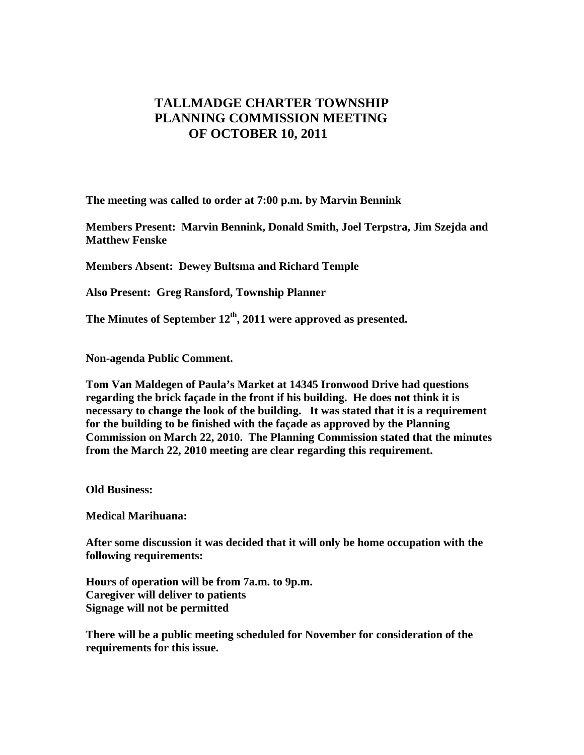## **TALLMADGE CHARTER TOWNSHIP PLANNING COMMISSION MEETING OF OCTOBER 10, 2011**

**The meeting was called to order at 7:00 p.m. by Marvin Bennink** 

**Members Present: Marvin Bennink, Donald Smith, Joel Terpstra, Jim Szejda and Matthew Fenske** 

**Members Absent: Dewey Bultsma and Richard Temple** 

**Also Present: Greg Ransford, Township Planner** 

The Minutes of September 12<sup>th</sup>, 2011 were approved as presented.

**Non-agenda Public Comment.** 

**Tom Van Maldegen of Paula's Market at 14345 Ironwood Drive had questions regarding the brick façade in the front if his building. He does not think it is necessary to change the look of the building. It was stated that it is a requirement for the building to be finished with the façade as approved by the Planning Commission on March 22, 2010. The Planning Commission stated that the minutes from the March 22, 2010 meeting are clear regarding this requirement.** 

**Old Business:** 

**Medical Marihuana:** 

**After some discussion it was decided that it will only be home occupation with the following requirements:** 

**Hours of operation will be from 7a.m. to 9p.m. Caregiver will deliver to patients Signage will not be permitted** 

**There will be a public meeting scheduled for November for consideration of the requirements for this issue.**